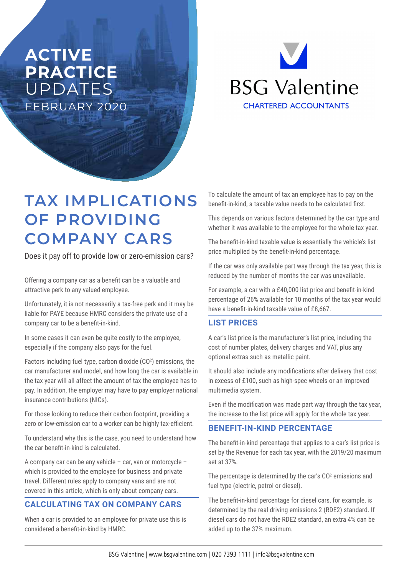# **ACTIVE PRACTICE**  UPDATES FEBRUARY 2020

**BSG Valentine CHARTERED ACCOUNTANTS** 

# **TAX IMPLICATIONS OF PROVIDING COMPANY CARS**

Does it pay off to provide low or zero-emission cars?

Offering a company car as a benefit can be a valuable and attractive perk to any valued employee.

Unfortunately, it is not necessarily a tax-free perk and it may be liable for PAYE because HMRC considers the private use of a company car to be a benefit-in-kind.

In some cases it can even be quite costly to the employee, especially if the company also pays for the fuel.

Factors including fuel type, carbon dioxide  $(CO<sup>2</sup>)$  emissions, the car manufacturer and model, and how long the car is available in the tax year will all affect the amount of tax the employee has to pay. In addition, the employer may have to pay employer national insurance contributions (NICs).

For those looking to reduce their carbon footprint, providing a zero or low-emission car to a worker can be highly tax-efficient.

To understand why this is the case, you need to understand how the car benefit-in-kind is calculated.

A company car can be any vehicle – car, van or motorcycle – which is provided to the employee for business and private travel. Different rules apply to company vans and are not covered in this article, which is only about company cars.

## **CALCULATING TAX ON COMPANY CARS**

When a car is provided to an employee for private use this is considered a benefit-in-kind by HMRC.

To calculate the amount of tax an employee has to pay on the benefit-in-kind, a taxable value needs to be calculated first.

This depends on various factors determined by the car type and whether it was available to the employee for the whole tax year.

The benefit-in-kind taxable value is essentially the vehicle's list price multiplied by the benefit-in-kind percentage.

If the car was only available part way through the tax year, this is reduced by the number of months the car was unavailable.

For example, a car with a £40,000 list price and benefit-in-kind percentage of 26% available for 10 months of the tax year would have a benefit-in-kind taxable value of £8,667.

## **LIST PRICES**

A car's list price is the manufacturer's list price, including the cost of number plates, delivery charges and VAT, plus any optional extras such as metallic paint.

It should also include any modifications after delivery that cost in excess of £100, such as high-spec wheels or an improved multimedia system.

Even if the modification was made part way through the tax year, the increase to the list price will apply for the whole tax year.

## **BENEFIT-IN-KIND PERCENTAGE**

The benefit-in-kind percentage that applies to a car's list price is set by the Revenue for each tax year, with the 2019/20 maximum set at 37%.

The percentage is determined by the car's  $CO<sup>2</sup>$  emissions and fuel type (electric, petrol or diesel).

The benefit-in-kind percentage for diesel cars, for example, is determined by the real driving emissions 2 (RDE2) standard. If diesel cars do not have the RDE2 standard, an extra 4% can be added up to the 37% maximum.